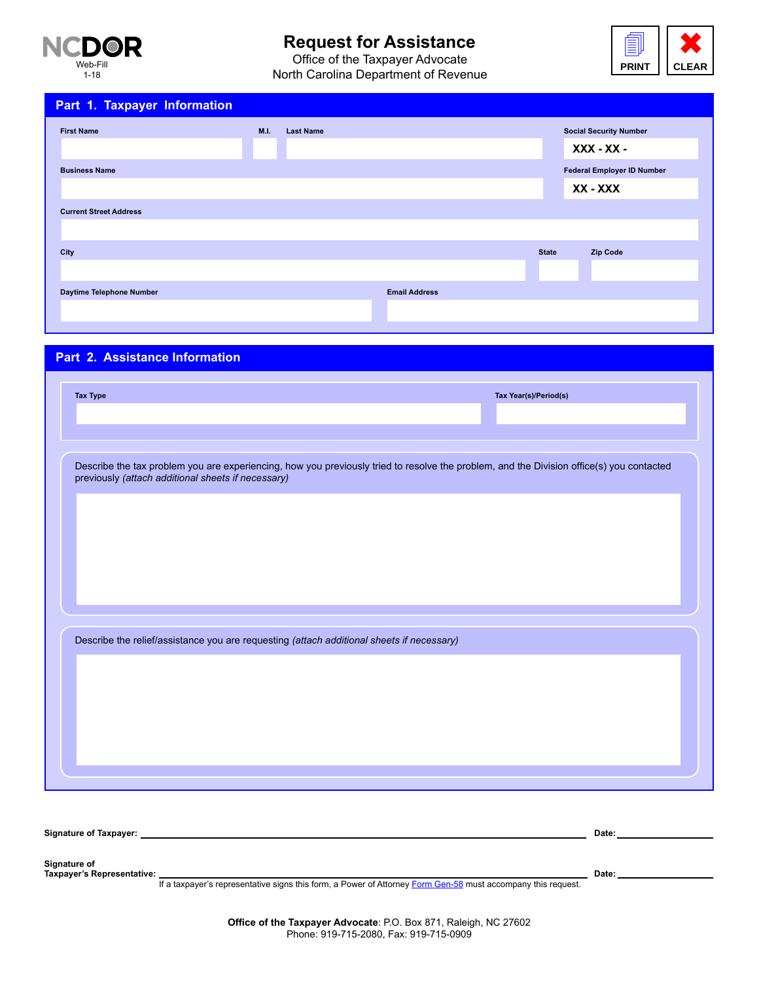

# **Request for Assistance**

Office of the Taxpayer Advocate North Carolina Department of Revenue



| Part 1. Taxpayer Information  |             |                  |                      |              |                                               |
|-------------------------------|-------------|------------------|----------------------|--------------|-----------------------------------------------|
| <b>First Name</b>             | <b>M.I.</b> | <b>Last Name</b> |                      |              | <b>Social Security Number</b><br>$XXX - XX -$ |
| <b>Business Name</b>          |             |                  |                      |              | <b>Federal Employer ID Number</b><br>XX - XXX |
| <b>Current Street Address</b> |             |                  |                      |              |                                               |
| City                          |             |                  |                      | <b>State</b> | <b>Zip Code</b>                               |
| Daytime Telephone Number      |             |                  | <b>Email Address</b> |              |                                               |

## **Part 2. Assistance Information**

|                                                                                                                                                                                                | Tax Year(s)/Period(s) |       |  |
|------------------------------------------------------------------------------------------------------------------------------------------------------------------------------------------------|-----------------------|-------|--|
|                                                                                                                                                                                                |                       |       |  |
|                                                                                                                                                                                                |                       |       |  |
| Describe the tax problem you are experiencing, how you previously tried to resolve the problem, and the Division office(s) you contacted<br>previously (attach additional sheets if necessary) |                       |       |  |
|                                                                                                                                                                                                |                       |       |  |
|                                                                                                                                                                                                |                       |       |  |
|                                                                                                                                                                                                |                       |       |  |
|                                                                                                                                                                                                |                       |       |  |
|                                                                                                                                                                                                |                       |       |  |
|                                                                                                                                                                                                |                       |       |  |
|                                                                                                                                                                                                |                       |       |  |
|                                                                                                                                                                                                |                       |       |  |
| Describe the relief/assistance you are requesting (attach additional sheets if necessary)                                                                                                      |                       |       |  |
|                                                                                                                                                                                                |                       |       |  |
|                                                                                                                                                                                                |                       |       |  |
|                                                                                                                                                                                                |                       |       |  |
|                                                                                                                                                                                                |                       |       |  |
|                                                                                                                                                                                                |                       |       |  |
|                                                                                                                                                                                                |                       |       |  |
|                                                                                                                                                                                                |                       |       |  |
|                                                                                                                                                                                                |                       |       |  |
|                                                                                                                                                                                                |                       |       |  |
|                                                                                                                                                                                                |                       | Date: |  |
|                                                                                                                                                                                                |                       |       |  |